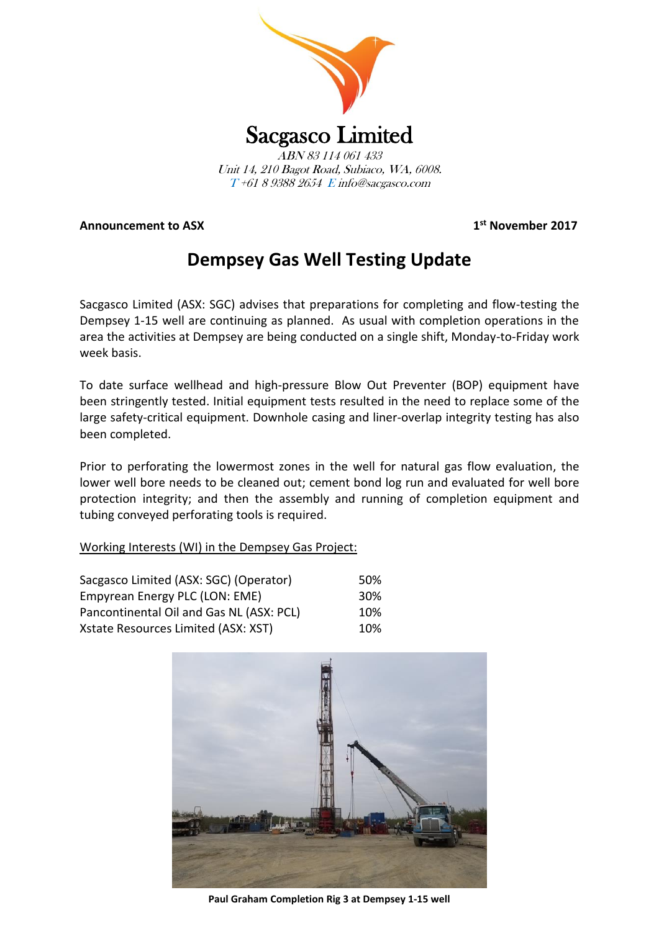

**Announcement to ASX 1**

**st November 2017**

# **Dempsey Gas Well Testing Update**

Sacgasco Limited (ASX: SGC) advises that preparations for completing and flow-testing the Dempsey 1-15 well are continuing as planned. As usual with completion operations in the area the activities at Dempsey are being conducted on a single shift, Monday-to-Friday work week basis.

To date surface wellhead and high-pressure Blow Out Preventer (BOP) equipment have been stringently tested. Initial equipment tests resulted in the need to replace some of the large safety-critical equipment. Downhole casing and liner-overlap integrity testing has also been completed.

Prior to perforating the lowermost zones in the well for natural gas flow evaluation, the lower well bore needs to be cleaned out; cement bond log run and evaluated for well bore protection integrity; and then the assembly and running of completion equipment and tubing conveyed perforating tools is required.

## Working Interests (WI) in the Dempsey Gas Project:

| Sacgasco Limited (ASX: SGC) (Operator)   | 50%             |
|------------------------------------------|-----------------|
| Empyrean Energy PLC (LON: EME)           | 30 <sup>%</sup> |
| Pancontinental Oil and Gas NL (ASX: PCL) | 10%             |
| Xstate Resources Limited (ASX: XST)      | 10%             |



**Paul Graham Completion Rig 3 at Dempsey 1-15 well**